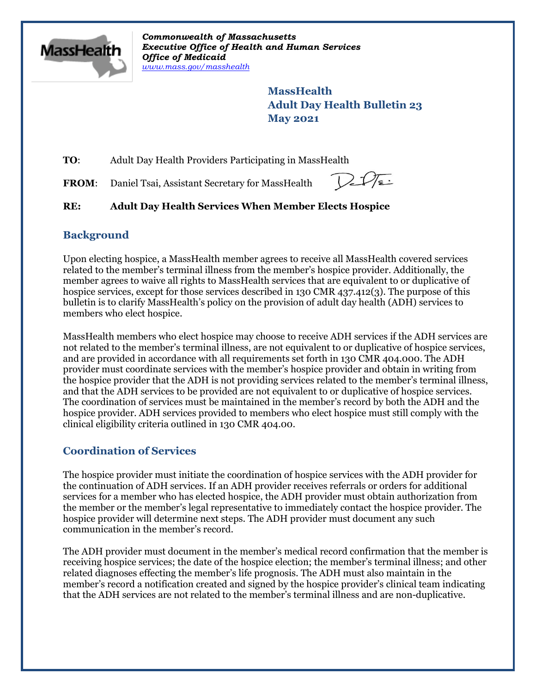

*Commonwealth of Massachusetts Executive Office of Health and Human Services Office of Medicaid [www.mass.gov/masshealth](http://www.mass.gov/masshealth)*

> **MassHealth Adult Day Health Bulletin 23 May 2021**

**TO**: Adult Day Health Providers Participating in MassHealth

FROM: Daniel Tsai, Assistant Secretary for MassHealth

 $2\sqrt{s}$ 

# **RE: Adult Day Health Services When Member Elects Hospice**

## **Background**

Upon electing hospice, a MassHealth member agrees to receive all MassHealth covered services related to the member's terminal illness from the member's hospice provider. Additionally, the member agrees to waive all rights to MassHealth services that are equivalent to or duplicative of hospice services, except for those services described in 130 CMR 437.412(3). The purpose of this bulletin is to clarify MassHealth's policy on the provision of adult day health (ADH) services to members who elect hospice.

MassHealth members who elect hospice may choose to receive ADH services if the ADH services are not related to the member's terminal illness, are not equivalent to or duplicative of hospice services, and are provided in accordance with all requirements set forth in 130 CMR 404.000. The ADH provider must coordinate services with the member's hospice provider and obtain in writing from the hospice provider that the ADH is not providing services related to the member's terminal illness, and that the ADH services to be provided are not equivalent to or duplicative of hospice services. The coordination of services must be maintained in the member's record by both the ADH and the hospice provider. ADH services provided to members who elect hospice must still comply with the clinical eligibility criteria outlined in 130 CMR 404.00.

# **Coordination of Services**

The hospice provider must initiate the coordination of hospice services with the ADH provider for the continuation of ADH services. If an ADH provider receives referrals or orders for additional services for a member who has elected hospice, the ADH provider must obtain authorization from the member or the member's legal representative to immediately contact the hospice provider. The hospice provider will determine next steps. The ADH provider must document any such communication in the member's record.

The ADH provider must document in the member's medical record confirmation that the member is receiving hospice services; the date of the hospice election; the member's terminal illness; and other related diagnoses effecting the member's life prognosis. The ADH must also maintain in the member's record a notification created and signed by the hospice provider's clinical team indicating that the ADH services are not related to the member's terminal illness and are non-duplicative.